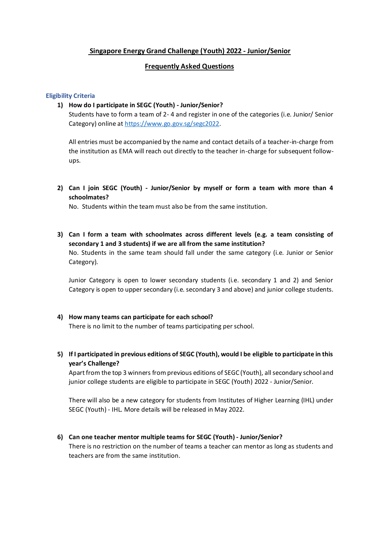# **Singapore Energy Grand Challenge (Youth) 2022 - Junior/Senior**

# **Frequently Asked Questions**

## **Eligibility Criteria**

**1) How do I participate in SEGC (Youth) - Junior/Senior?** 

Students have to form a team of 2- 4 and register in one of the categories (i.e. Junior/ Senior Category) online a[t https://www.go.gov.sg/segc2022.](https://www.go.gov.sg/segc2022)

All entries must be accompanied by the name and contact details of a teacher-in-charge from the institution as EMA will reach out directly to the teacher in-charge for subsequent followups.

**2) Can I join SEGC (Youth) - Junior/Senior by myself or form a team with more than 4 schoolmates?**

No. Students within the team must also be from the same institution.

**3) Can I form a team with schoolmates across different levels (e.g. a team consisting of secondary 1 and 3 students) if we are all from the same institution?**  No. Students in the same team should fall under the same category (i.e. Junior or Senior Category).

Junior Category is open to lower secondary students (i.e. secondary 1 and 2) and Senior Category is open to upper secondary (i.e. secondary 3 and above) and junior college students.

## **4) How many teams can participate for each school?**

There is no limit to the number of teams participating per school.

**5) If I participated in previous editions of SEGC (Youth), would I be eligible to participate in this year's Challenge?**

Apart from the top 3 winners from previous editions of SEGC (Youth), all secondary school and junior college students are eligible to participate in SEGC (Youth) 2022 - Junior/Senior.

There will also be a new category for students from Institutes of Higher Learning (IHL) under SEGC (Youth) - IHL. More details will be released in May 2022.

## **6) Can one teacher mentor multiple teams for SEGC (Youth) - Junior/Senior?**

There is no restriction on the number of teams a teacher can mentor as long as students and teachers are from the same institution.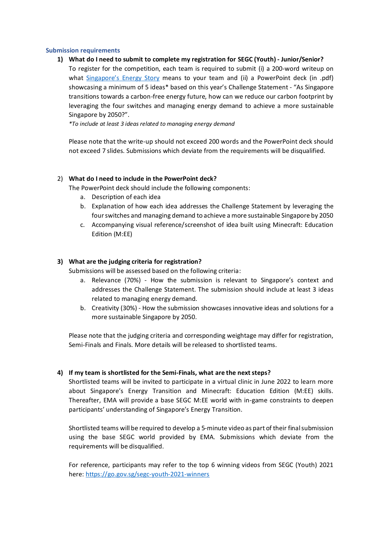### **Submission requirements**

## **1) What do I need to submit to complete my registration for SEGC (Youth) - Junior/Senior?**

To register for the competition, each team is required to submit (i) a 200-word writeup on what [Singapore's E](https://www.beyondthecurrent.gov.sg/)nergy Story means to your team and (ii) a PowerPoint deck (in .pdf) showcasing a minimum of 5 ideas\* based on this year's Challenge Statement - "As Singapore transitions towards a carbon-free energy future, how can we reduce our carbon footprint by leveraging the four switches and managing energy demand to achieve a more sustainable Singapore by 2050?".

*\*To include at least 3 ideas related to managing energy demand*

Please note that the write-up should not exceed 200 words and the PowerPoint deck should not exceed 7 slides. Submissions which deviate from the requirements will be disqualified.

## 2) **What do I need to include in the PowerPoint deck?**

The PowerPoint deck should include the following components:

- a. Description of each idea
- b. Explanation of how each idea addresses the Challenge Statement by leveraging the four switches and managing demand to achieve a more sustainable Singapore by 2050
- c. Accompanying visual reference/screenshot of idea built using Minecraft: Education Edition (M:EE)

## **3) What are the judging criteria for registration?**

Submissions will be assessed based on the following criteria:

- a. Relevance (70%) How the submission is relevant to Singapore's context and addresses the Challenge Statement. The submission should include at least 3 ideas related to managing energy demand.
- b. Creativity (30%) How the submission showcases innovative ideas and solutions for a more sustainable Singapore by 2050.

Please note that the judging criteria and corresponding weightage may differ for registration, Semi-Finals and Finals. More details will be released to shortlisted teams.

## **4) If my team is shortlisted for the Semi-Finals, what are the next steps?**

Shortlisted teams will be invited to participate in a virtual clinic in June 2022 to learn more about Singapore's Energy Transition and Minecraft: Education Edition (M:EE) skills. Thereafter, EMA will provide a base SEGC M:EE world with in-game constraints to deepen participants' understanding of Singapore's Energy Transition.

Shortlisted teams will be required to develop a 5-minute video as part of their final submission using the base SEGC world provided by EMA. Submissions which deviate from the requirements will be disqualified.

For reference, participants may refer to the top 6 winning videos from SEGC (Youth) 2021 here[: https://go.gov.sg/segc-youth-2021-winners](https://go.gov.sg/segc-youth-2021-winners)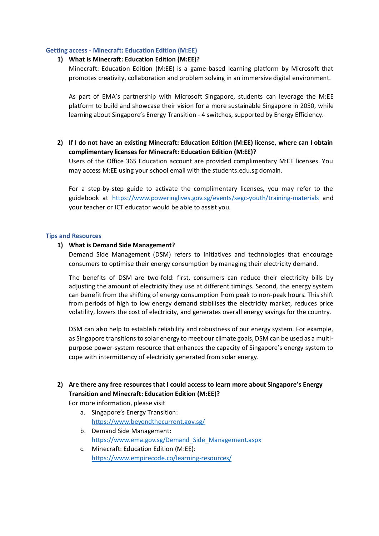### **Getting access - Minecraft: Education Edition (M:EE)**

### **1) What is Minecraft: Education Edition (M:EE)?**

Minecraft: Education Edition (M:EE) is a game-based learning platform by Microsoft that promotes creativity, collaboration and problem solving in an immersive digital environment.

As part of EMA's partnership with Microsoft Singapore, students can leverage the M:EE platform to build and showcase their vision for a more sustainable Singapore in 2050, while learning about Singapore's Energy Transition - 4 switches, supported by Energy Efficiency.

**2) If I do not have an existing Minecraft: Education Edition (M:EE) license, where can I obtain complimentary licenses for Minecraft: Education Edition (M:EE)?** 

Users of the Office 365 Education account are provided complimentary M:EE licenses. You may access M:EE using your school email with the students.edu.sg domain.

For a step-by-step guide to activate the complimentary licenses, you may refer to the guidebook at <https://www.poweringlives.gov.sg/events/segc-youth/training-materials> and your teacher or ICT educator would be able to assist you.

#### **Tips and Resources**

#### **1) What is Demand Side Management?**

Demand Side Management (DSM) refers to initiatives and technologies that encourage consumers to optimise their energy consumption by managing their electricity demand.

The benefits of DSM are two-fold: first, consumers can reduce their electricity bills by adjusting the amount of electricity they use at different timings. Second, the energy system can benefit from the shifting of energy consumption from peak to non-peak hours. This shift from periods of high to low energy demand stabilises the electricity market, reduces price volatility, lowers the cost of electricity, and generates overall energy savings for the country.

DSM can also help to establish reliability and robustness of our energy system. For example, as Singapore transitions to solar energy to meet our climate goals, DSM can be used as a multipurpose power-system resource that enhances the capacity of Singapore's energy system to cope with intermittency of electricity generated from solar energy.

# **2) Are there any free resources that I could access to learn more about Singapore's Energy Transition and Minecraft: Education Edition (M:EE)?**

For more information, please visit

- a. Singapore's Energy Transition: <https://www.beyondthecurrent.gov.sg/>
- b. Demand Side Management: https://www.ema.gov.sg/Demand Side Management.aspx
- c. Minecraft: Education Edition (M:EE): <https://www.empirecode.co/learning-resources/>